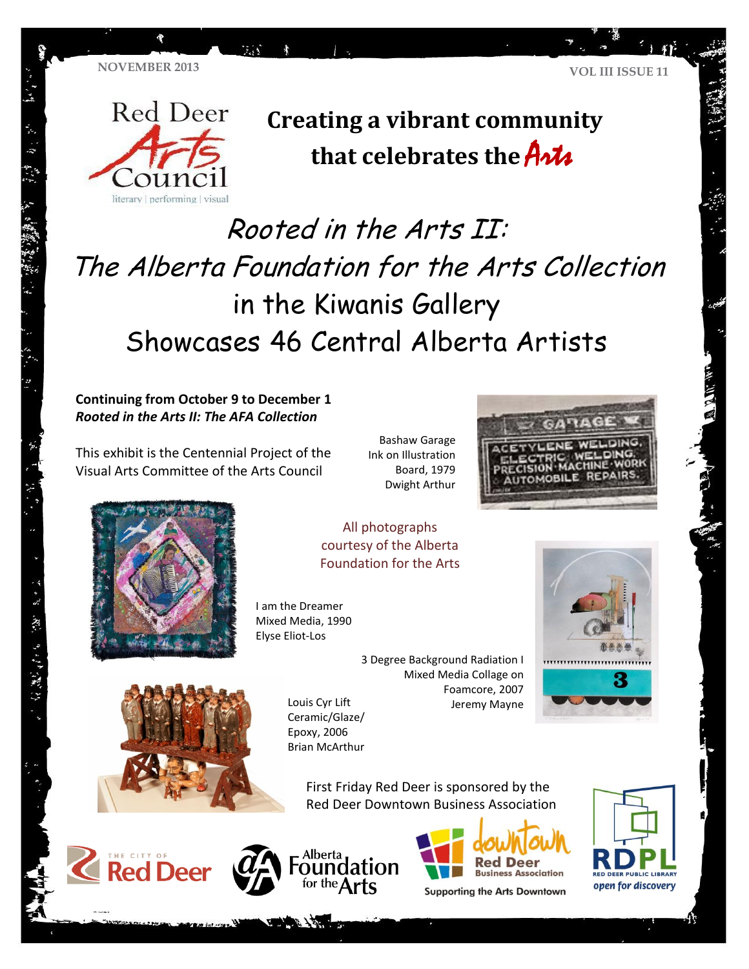**TA** 



**Creating a vibrant community that celebrates the** Arts

# Rooted in the Arts II: The Alberta Foundation for the Arts Collection in the Kiwanis Gallery Showcases 46 Central Alberta Artists

**Continuing from October 9 to December 1** *Rooted in the Arts II: The AFA Collection*

This exhibit is the Centennial Project of the Visual Arts Committee of the Arts Council

Bashaw Garage Ink on Illustration Board, 1979 Dwight Arthur





" 我们的 经 的复数 化

All photographs courtesy of the Alberta Foundation for the Arts

I am the Dreamer Mixed Media, 1990 Elyse Eliot-Los





Louis Cyr Lift Ceramic/Glaze/ Epoxy, 2006 Brian McArthur

> First Friday Red Deer is sponsored by the Red Deer Downtown Business Association







**Supporting the Arts Downtown** 

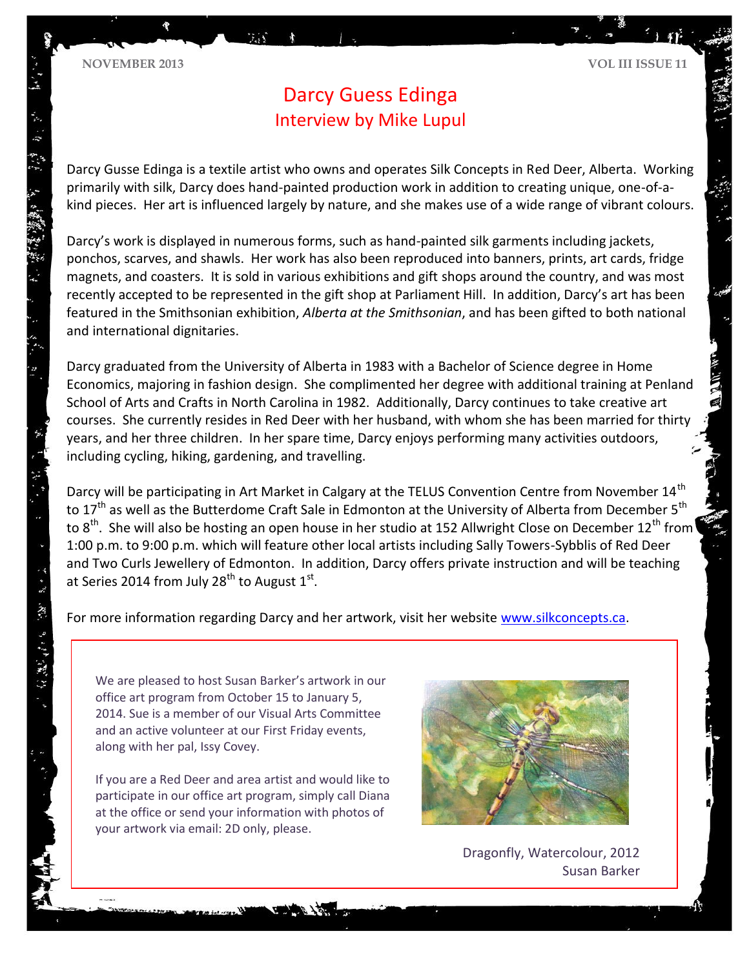# Darcy Guess Edinga Interview by Mike Lupul

Darcy Gusse Edinga is a textile artist who owns and operates Silk Concepts in Red Deer, Alberta. Working primarily with silk, Darcy does hand-painted production work in addition to creating unique, one-of-akind pieces. Her art is influenced largely by nature, and she makes use of a wide range of vibrant colours.

Darcy's work is displayed in numerous forms, such as hand-painted silk garments including jackets, ponchos, scarves, and shawls. Her work has also been reproduced into banners, prints, art cards, fridge magnets, and coasters. It is sold in various exhibitions and gift shops around the country, and was most recently accepted to be represented in the gift shop at Parliament Hill. In addition, Darcy's art has been featured in the Smithsonian exhibition, *Alberta at the Smithsonian*, and has been gifted to both national and international dignitaries.

Darcy graduated from the University of Alberta in 1983 with a Bachelor of Science degree in Home Economics, majoring in fashion design. She complimented her degree with additional training at Penland School of Arts and Crafts in North Carolina in 1982. Additionally, Darcy continues to take creative art courses. She currently resides in Red Deer with her husband, with whom she has been married for thirty years, and her three children. In her spare time, Darcy enjoys performing many activities outdoors, including cycling, hiking, gardening, and travelling.

Darcy will be participating in Art Market in Calgary at the TELUS Convention Centre from November 14<sup>th</sup> to 17<sup>th</sup> as well as the Butterdome Craft Sale in Edmonton at the University of Alberta from December 5<sup>th</sup> to 8<sup>th</sup>. She will also be hosting an open house in her studio at 152 Allwright Close on December 12<sup>th</sup> from 1:00 p.m. to 9:00 p.m. which will feature other local artists including Sally Towers-Sybblis of Red Deer and Two Curls Jewellery of Edmonton. In addition, Darcy offers private instruction and will be teaching at Series 2014 from July 28<sup>th</sup> to August 1<sup>st</sup>.

For more information regarding Darcy and her artwork, visit her website [www.silkconcepts.ca.](http://www.silkconcepts.ca/)

We are pleased to host Susan Barker's artwork in our office art program from October 15 to January 5, 2014. Sue is a member of our Visual Arts Committee and an active volunteer at our First Friday events, along with her pal, Issy Covey.

.

- アール (程) ランデア(集)

If you are a Red Deer and area artist and would like to participate in our office art program, simply call Diana at the office or send your information with photos of your artwork via email: 2D only, please.



Dragonfly, Watercolour, 2012 Susan Barker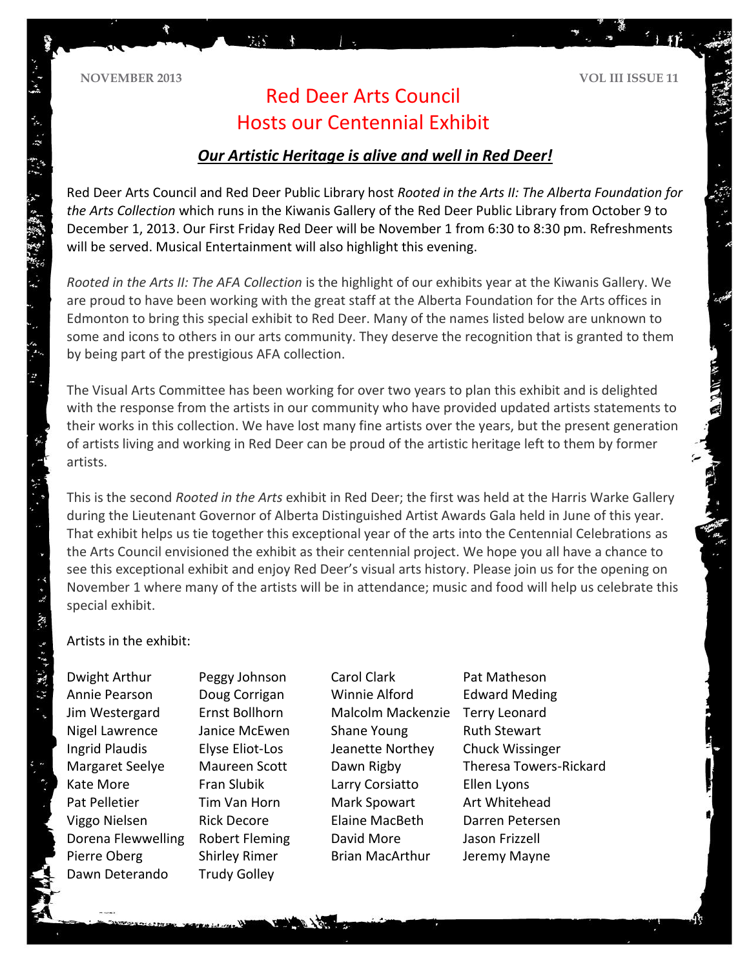**NOVEMBER 2013 VOL III ISSUE 11**

## Red Deer Arts Council Hosts our Centennial Exhibit

min"

### *Our Artistic Heritage is alive and well in Red Deer!*

Red Deer Arts Council and Red Deer Public Library host *Rooted in the Arts II: The Alberta Foundation for the Arts Collection* which runs in the Kiwanis Gallery of the Red Deer Public Library from October 9 to December 1, 2013. Our First Friday Red Deer will be November 1 from 6:30 to 8:30 pm. Refreshments will be served. Musical Entertainment will also highlight this evening.

*Rooted in the Arts II: The AFA Collection* is the highlight of our exhibits year at the Kiwanis Gallery. We are proud to have been working with the great staff at the Alberta Foundation for the Arts offices in Edmonton to bring this special exhibit to Red Deer. Many of the names listed below are unknown to some and icons to others in our arts community. They deserve the recognition that is granted to them by being part of the prestigious AFA collection.

The Visual Arts Committee has been working for over two years to plan this exhibit and is delighted with the response from the artists in our community who have provided updated artists statements to their works in this collection. We have lost many fine artists over the years, but the present generation of artists living and working in Red Deer can be proud of the artistic heritage left to them by former artists.

This is the second *Rooted in the Arts* exhibit in Red Deer; the first was held at the Harris Warke Gallery during the Lieutenant Governor of Alberta Distinguished Artist Awards Gala held in June of this year. That exhibit helps us tie together this exceptional year of the arts into the Centennial Celebrations as the Arts Council envisioned the exhibit as their centennial project. We hope you all have a chance to see this exceptional exhibit and enjoy Red Deer's visual arts history. Please join us for the opening on November 1 where many of the artists will be in attendance; music and food will help us celebrate this special exhibit.

#### Artists in the exhibit:

 $\label{eq:G} \mathcal{L}_k^{\mathcal{L}} \left( \mathcal{L}_k^{\mathcal{L}} \right) = \mathcal{L}_k^{\mathcal{L}} \left( \mathcal{L}_k^{\mathcal{L}} \right) = \mathcal{L}_k^{\mathcal{L}} \left( \mathcal{L}_k^{\mathcal{L}} \right)$ 

Dwight Arthur Peggy Johnson Carol Clark Pat Matheson Annie Pearson Doug Corrigan Winnie Alford Edward Meding Jim Westergard Ernst Bollhorn Malcolm Mackenzie Terry Leonard Nigel Lawrence Janice McEwen Shane Young Ruth Stewart Ingrid Plaudis Elyse Eliot-Los Jeanette Northey Chuck Wissinger Kate More **Fran Slubik** Larry Corsiatto Ellen Lyons Pat Pelletier Tim Van Horn Mark Spowart Art Whitehead Viggo Nielsen Rick Decore Elaine MacBeth Darren Petersen Dorena Flewwelling Robert Fleming David More Jason Frizzell Pierre Oberg Shirley Rimer Brian MacArthur Jeremy Mayne Dawn Deterando Trudy Golley

Margaret Seelye Maureen Scott Dawn Rigby Theresa Towers-Rickard